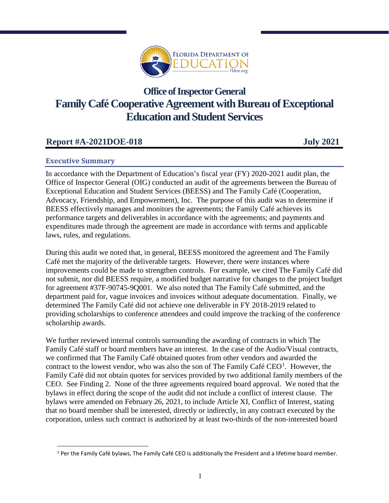

# **Office of Inspector General Family Café Cooperative Agreement with Bureau of Exceptional Education and Student Services**

## **Report #A-2021DOE-018 July 2021**

## **Executive Summary**

l

In accordance with the Department of Education's fiscal year (FY) 2020-2021 audit plan, the Office of Inspector General (OIG) conducted an audit of the agreements between the Bureau of Exceptional Education and Student Services (BEESS) and The Family Café (Cooperation, Advocacy, Friendship, and Empowerment), Inc. The purpose of this audit was to determine if BEESS effectively manages and monitors the agreements; the Family Café achieves its performance targets and deliverables in accordance with the agreements; and payments and expenditures made through the agreement are made in accordance with terms and applicable laws, rules, and regulations.

During this audit we noted that, in general, BEESS monitored the agreement and The Family Café met the majority of the deliverable targets. However, there were instances where improvements could be made to strengthen controls. For example, we cited The Family Café did not submit, nor did BEESS require, a modified budget narrative for changes to the project budget for agreement #37F-90745-9Q001. We also noted that The Family Café submitted, and the department paid for, vague invoices and invoices without adequate documentation. Finally, we determined The Family Café did not achieve one deliverable in FY 2018-2019 related to providing scholarships to conference attendees and could improve the tracking of the conference scholarship awards.

We further reviewed internal controls surrounding the awarding of contracts in which The Family Café staff or board members have an interest. In the case of the Audio/Visual contracts, we confirmed that The Family Café obtained quotes from other vendors and awarded the contract to the lowest vendor, who was also the son of The Family Café  $CEO<sup>1</sup>$  $CEO<sup>1</sup>$  $CEO<sup>1</sup>$ . However, the Family Café did not obtain quotes for services provided by two additional family members of the CEO. See Finding 2. None of the three agreements required board approval. We noted that the bylaws in effect during the scope of the audit did not include a conflict of interest clause. The bylaws were amended on February 26, 2021, to include Article XI, Conflict of Interest, stating that no board member shall be interested, directly or indirectly, in any contract executed by the corporation, unless such contract is authorized by at least two-thirds of the non-interested board

<span id="page-0-0"></span> $1$  Per the Family Café bylaws, The Family Café CEO is additionally the President and a lifetime board member.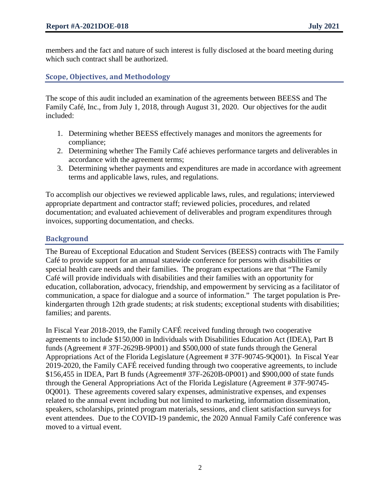members and the fact and nature of such interest is fully disclosed at the board meeting during which such contract shall be authorized.

**Scope, Objectives, and Methodology**

The scope of this audit included an examination of the agreements between BEESS and The Family Café, Inc., from July 1, 2018, through August 31, 2020. Our objectives for the audit included:

- 1. Determining whether BEESS effectively manages and monitors the agreements for compliance;
- 2. Determining whether The Family Café achieves performance targets and deliverables in accordance with the agreement terms;
- 3. Determining whether payments and expenditures are made in accordance with agreement terms and applicable laws, rules, and regulations.

To accomplish our objectives we reviewed applicable laws, rules, and regulations; interviewed appropriate department and contractor staff; reviewed policies, procedures, and related documentation; and evaluated achievement of deliverables and program expenditures through invoices, supporting documentation, and checks.

## **Background**

The Bureau of Exceptional Education and Student Services (BEESS) contracts with The Family Café to provide support for an annual statewide conference for persons with disabilities or special health care needs and their families. The program expectations are that "The Family Café will provide individuals with disabilities and their families with an opportunity for education, collaboration, advocacy, friendship, and empowerment by servicing as a facilitator of communication, a space for dialogue and a source of information." The target population is Prekindergarten through 12th grade students; at risk students; exceptional students with disabilities; families; and parents.

In Fiscal Year 2018-2019, the Family CAFÉ received funding through two cooperative agreements to include \$150,000 in Individuals with Disabilities Education Act (IDEA), Part B funds (Agreement # 37F-2629B-9P001) and \$500,000 of state funds through the General Appropriations Act of the Florida Legislature (Agreement # 37F-90745-9Q001). In Fiscal Year 2019-2020, the Family CAFÉ received funding through two cooperative agreements, to include \$156,455 in IDEA, Part B funds (Agreement# 37F-2620B-0P001) and \$900,000 of state funds through the General Appropriations Act of the Florida Legislature (Agreement # 37F-90745- 0Q001). These agreements covered salary expenses, administrative expenses, and expenses related to the annual event including but not limited to marketing, information dissemination, speakers, scholarships, printed program materials, sessions, and client satisfaction surveys for event attendees. Due to the COVID-19 pandemic, the 2020 Annual Family Café conference was moved to a virtual event.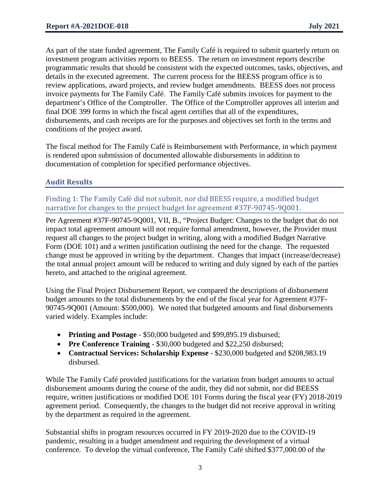As part of the state funded agreement, The Family Café is required to submit quarterly return on investment program activities reports to BEESS. The return on investment reports describe programmatic results that should be consistent with the expected outcomes, tasks, objectives, and details in the executed agreement. The current process for the BEESS program office is to review applications, award projects, and review budget amendments. BEESS does not process invoice payments for The Family Café. The Family Café submits invoices for payment to the department's Office of the Comptroller. The Office of the Comptroller approves all interim and final DOE 399 forms in which the fiscal agent certifies that all of the expenditures, disbursements, and cash receipts are for the purposes and objectives set forth in the terms and conditions of the project award.

The fiscal method for The Family Café is Reimbursement with Performance, in which payment is rendered upon submission of documented allowable disbursements in addition to documentation of completion for specified performance objectives.

## **Audit Results**

Finding 1: The Family Café did not submit, nor did BEESS require, a modified budget narrative for changes to the project budget for agreement #37F-90745-9Q001.

Per Agreement #37F-90745-9Q001, VII, B., "Project Budget: Changes to the budget that do not impact total agreement amount will not require formal amendment, however, the Provider must request all changes to the project budget in writing, along with a modified Budget Narrative Form (DOE 101) and a written justification outlining the need for the change. The requested change must be approved in writing by the department. Changes that impact (increase/decrease) the total annual project amount will be reduced to writing and duly signed by each of the parties hereto, and attached to the original agreement.

Using the Final Project Disbursement Report, we compared the descriptions of disbursement budget amounts to the total disbursements by the end of the fiscal year for Agreement #37F-90745-9Q001 (Amount: \$500,000). We noted that budgeted amounts and final disbursements varied widely. Examples include:

- **Printing and Postage** \$50,000 budgeted and \$99,895.19 disbursed;
- **Pre Conference Training** \$30,000 budgeted and \$22,250 disbursed;
- **Contractual Services: Scholarship Expense** \$230,000 budgeted and \$208,983.19 disbursed.

While The Family Café provided justifications for the variation from budget amounts to actual disbursement amounts during the course of the audit, they did not submit, nor did BEESS require, written justifications or modified DOE 101 Forms during the fiscal year (FY) 2018-2019 agreement period. Consequently, the changes to the budget did not receive approval in writing by the department as required in the agreement.

Substantial shifts in program resources occurred in FY 2019-2020 due to the COVID-19 pandemic, resulting in a budget amendment and requiring the development of a virtual conference. To develop the virtual conference, The Family Café shifted \$377,000.00 of the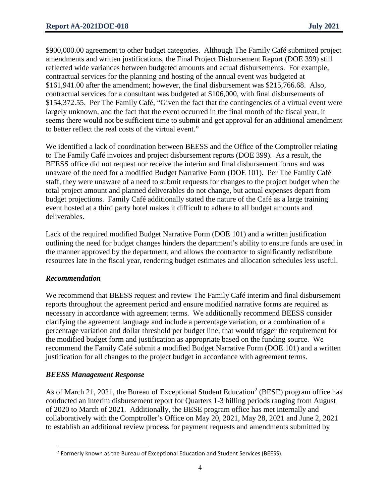\$900,000.00 agreement to other budget categories. Although The Family Café submitted project amendments and written justifications, the Final Project Disbursement Report (DOE 399) still reflected wide variances between budgeted amounts and actual disbursements. For example, contractual services for the planning and hosting of the annual event was budgeted at \$161,941.00 after the amendment; however, the final disbursement was \$215,766.68. Also, contractual services for a consultant was budgeted at \$106,000, with final disbursements of \$154,372.55. Per The Family Café, "Given the fact that the contingencies of a virtual event were largely unknown, and the fact that the event occurred in the final month of the fiscal year, it seems there would not be sufficient time to submit and get approval for an additional amendment to better reflect the real costs of the virtual event."

We identified a lack of coordination between BEESS and the Office of the Comptroller relating to The Family Café invoices and project disbursement reports (DOE 399). As a result, the BEESS office did not request nor receive the interim and final disbursement forms and was unaware of the need for a modified Budget Narrative Form (DOE 101). Per The Family Café staff, they were unaware of a need to submit requests for changes to the project budget when the total project amount and planned deliverables do not change, but actual expenses depart from budget projections. Family Café additionally stated the nature of the Café as a large training event hosted at a third party hotel makes it difficult to adhere to all budget amounts and deliverables.

Lack of the required modified Budget Narrative Form (DOE 101) and a written justification outlining the need for budget changes hinders the department's ability to ensure funds are used in the manner approved by the department, and allows the contractor to significantly redistribute resources late in the fiscal year, rendering budget estimates and allocation schedules less useful.

## *Recommendation*

We recommend that BEESS request and review The Family Café interim and final disbursement reports throughout the agreement period and ensure modified narrative forms are required as necessary in accordance with agreement terms. We additionally recommend BEESS consider clarifying the agreement language and include a percentage variation, or a combination of a percentage variation and dollar threshold per budget line, that would trigger the requirement for the modified budget form and justification as appropriate based on the funding source. We recommend the Family Café submit a modified Budget Narrative Form (DOE 101) and a written justification for all changes to the project budget in accordance with agreement terms.

## *BEESS Management Response*

As of March [2](#page-3-0)1, 2021, the Bureau of Exceptional Student Education<sup>2</sup> (BESE) program office has conducted an interim disbursement report for Quarters 1-3 billing periods ranging from August of 2020 to March of 2021. Additionally, the BESE program office has met internally and collaboratively with the Comptroller's Office on May 20, 2021, May 28, 2021 and June 2, 2021 to establish an additional review process for payment requests and amendments submitted by

<span id="page-3-0"></span>l <sup>2</sup> Formerly known as the Bureau of Exceptional Education and Student Services (BEESS).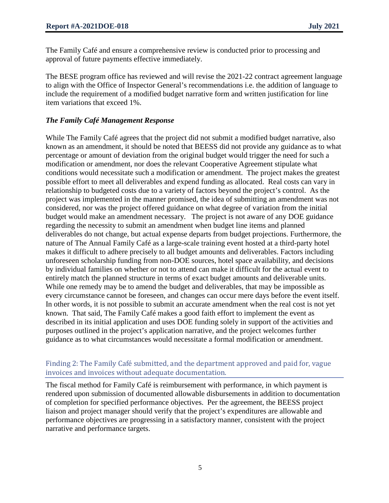The Family Café and ensure a comprehensive review is conducted prior to processing and approval of future payments effective immediately.

The BESE program office has reviewed and will revise the 2021-22 contract agreement language to align with the Office of Inspector General's recommendations i.e. the addition of language to include the requirement of a modified budget narrative form and written justification for line item variations that exceed 1%.

## *The Family Café Management Response*

While The Family Café agrees that the project did not submit a modified budget narrative, also known as an amendment, it should be noted that BEESS did not provide any guidance as to what percentage or amount of deviation from the original budget would trigger the need for such a modification or amendment, nor does the relevant Cooperative Agreement stipulate what conditions would necessitate such a modification or amendment. The project makes the greatest possible effort to meet all deliverables and expend funding as allocated. Real costs can vary in relationship to budgeted costs due to a variety of factors beyond the project's control. As the project was implemented in the manner promised, the idea of submitting an amendment was not considered, nor was the project offered guidance on what degree of variation from the initial budget would make an amendment necessary. The project is not aware of any DOE guidance regarding the necessity to submit an amendment when budget line items and planned deliverables do not change, but actual expense departs from budget projections. Furthermore, the nature of The Annual Family Café as a large-scale training event hosted at a third-party hotel makes it difficult to adhere precisely to all budget amounts and deliverables. Factors including unforeseen scholarship funding from non-DOE sources, hotel space availability, and decisions by individual families on whether or not to attend can make it difficult for the actual event to entirely match the planned structure in terms of exact budget amounts and deliverable units. While one remedy may be to amend the budget and deliverables, that may be impossible as every circumstance cannot be foreseen, and changes can occur mere days before the event itself. In other words, it is not possible to submit an accurate amendment when the real cost is not yet known. That said, The Family Café makes a good faith effort to implement the event as described in its initial application and uses DOE funding solely in support of the activities and purposes outlined in the project's application narrative, and the project welcomes further guidance as to what circumstances would necessitate a formal modification or amendment.

## Finding 2: The Family Café submitted, and the department approved and paid for, vague invoices and invoices without adequate documentation.

The fiscal method for Family Café is reimbursement with performance, in which payment is rendered upon submission of documented allowable disbursements in addition to documentation of completion for specified performance objectives. Per the agreement, the BEESS project liaison and project manager should verify that the project's expenditures are allowable and performance objectives are progressing in a satisfactory manner, consistent with the project narrative and performance targets.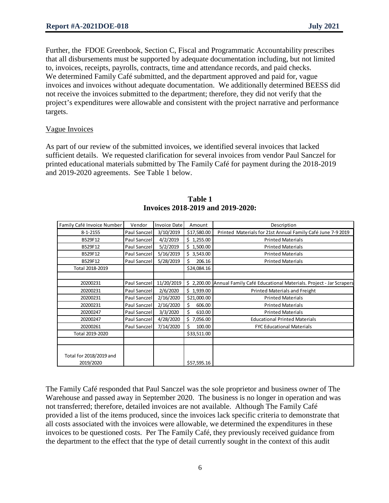Further, the FDOE Greenbook, Section C, Fiscal and Programmatic Accountability prescribes that all disbursements must be supported by adequate documentation including, but not limited to, invoices, receipts, payrolls, contracts, time and attendance records, and paid checks. We determined Family Café submitted, and the department approved and paid for, vague invoices and invoices without adequate documentation. We additionally determined BEESS did not receive the invoices submitted to the department; therefore, they did not verify that the project's expenditures were allowable and consistent with the project narrative and performance targets.

#### Vague Invoices

As part of our review of the submitted invoices, we identified several invoices that lacked sufficient details. We requested clarification for several invoices from vendor Paul Sanczel for printed educational materials submitted by The Family Café for payment during the 2018-2019 and 2019-2020 agreements. See Table 1 below.

| Family Café Invoice Number           | Vendor       | <b>Invoice Date</b> | Amount       | Description                                                                  |  |
|--------------------------------------|--------------|---------------------|--------------|------------------------------------------------------------------------------|--|
| $8 - 1 - 2155$                       | Paul Sanczel | 3/10/2019           | \$17,580.00  | Printed Materials for 21st Annual Family Café June 7-9 2019                  |  |
| B529F12                              | Paul Sanczel | 4/2/2019            | \$1,255.00   | <b>Printed Materials</b>                                                     |  |
| B529F12                              | Paul Sanczel | 5/2/2019            | \$1,500.00   | <b>Printed Materials</b>                                                     |  |
| B529F12                              | Paul Sanczel | 5/16/2019           | \$3,543.00   | <b>Printed Materials</b>                                                     |  |
| B529F12                              | Paul Sanczel | 5/28/2019           | 206.16       | <b>Printed Materials</b>                                                     |  |
| Total 2018-2019                      |              |                     | \$24,084.16  |                                                                              |  |
|                                      |              |                     |              |                                                                              |  |
| 20200231                             | Paul Sanczel | 11/20/2019          |              | \$ 2,200.00 Annual Family Café Educational Materials. Project - Jar Scrapers |  |
| 20200231                             | Paul Sanczel | 2/6/2020            | \$1,939.00   | Printed Materials and Freight                                                |  |
| 20200231                             | Paul Sanczel | 2/16/2020           | \$21,000.00  | <b>Printed Materials</b>                                                     |  |
| 20200231                             | Paul Sanczel | 2/16/2020           | 606.00<br>Ś. | <b>Printed Materials</b>                                                     |  |
| 20200247                             | Paul Sanczel | 3/3/2020            | Ś.<br>610.00 | <b>Printed Materials</b>                                                     |  |
| 20200247                             | Paul Sanczel | 4/28/2020           | \$7,056.00   | <b>Educational Printed Materials</b>                                         |  |
| 20200261                             | Paul Sanczel | 7/14/2020           | Ś<br>100.00  | <b>FYC Educational Materials</b>                                             |  |
| Total 2019-2020                      |              |                     | \$33,511.00  |                                                                              |  |
|                                      |              |                     |              |                                                                              |  |
| Total for 2018/2019 and<br>2019/2020 |              |                     | \$57,595.16  |                                                                              |  |

#### **Table 1 Invoices 2018-2019 and 2019-2020:**

The Family Café responded that Paul Sanczel was the sole proprietor and business owner of The Warehouse and passed away in September 2020. The business is no longer in operation and was not transferred; therefore, detailed invoices are not available. Although The Family Café provided a list of the items produced, since the invoices lack specific criteria to demonstrate that all costs associated with the invoices were allowable, we determined the expenditures in these invoices to be questioned costs. Per The Family Café, they previously received guidance from the department to the effect that the type of detail currently sought in the context of this audit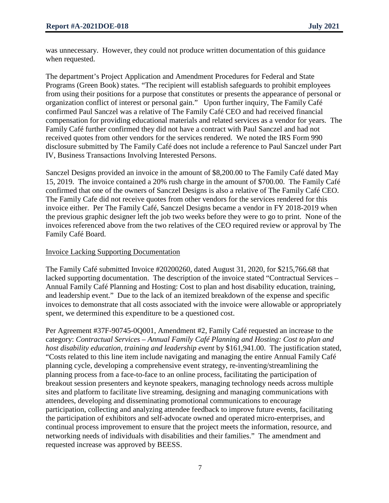was unnecessary. However, they could not produce written documentation of this guidance when requested.

The department's Project Application and Amendment Procedures for Federal and State Programs (Green Book) states. "The recipient will establish safeguards to prohibit employees from using their positions for a purpose that constitutes or presents the appearance of personal or organization conflict of interest or personal gain." Upon further inquiry, The Family Café confirmed Paul Sanczel was a relative of The Family Café CEO and had received financial compensation for providing educational materials and related services as a vendor for years. The Family Café further confirmed they did not have a contract with Paul Sanczel and had not received quotes from other vendors for the services rendered. We noted the IRS Form 990 disclosure submitted by The Family Café does not include a reference to Paul Sanczel under Part IV, Business Transactions Involving Interested Persons.

Sanczel Designs provided an invoice in the amount of \$8,200.00 to The Family Café dated May 15, 2019. The invoice contained a 20% rush charge in the amount of \$700.00. The Family Café confirmed that one of the owners of Sanczel Designs is also a relative of The Family Café CEO. The Family Cafe did not receive quotes from other vendors for the services rendered for this invoice either. Per The Family Café, Sanczel Designs became a vendor in FY 2018-2019 when the previous graphic designer left the job two weeks before they were to go to print. None of the invoices referenced above from the two relatives of the CEO required review or approval by The Family Café Board.

#### Invoice Lacking Supporting Documentation

The Family Café submitted Invoice #20200260, dated August 31, 2020, for \$215,766.68 that lacked supporting documentation. The description of the invoice stated "Contractual Services – Annual Family Café Planning and Hosting: Cost to plan and host disability education, training, and leadership event." Due to the lack of an itemized breakdown of the expense and specific invoices to demonstrate that all costs associated with the invoice were allowable or appropriately spent, we determined this expenditure to be a questioned cost.

Per Agreement #37F-90745-0Q001, Amendment #2, Family Café requested an increase to the category: *Contractual Services – Annual Family Café Planning and Hosting: Cost to plan and host disability education, training and leadership event* by \$161,941.00. The justification stated, "Costs related to this line item include navigating and managing the entire Annual Family Café planning cycle, developing a comprehensive event strategy, re-inventing/streamlining the planning process from a face-to-face to an online process, facilitating the participation of breakout session presenters and keynote speakers, managing technology needs across multiple sites and platform to facilitate live streaming, designing and managing communications with attendees, developing and disseminating promotional communications to encourage participation, collecting and analyzing attendee feedback to improve future events, facilitating the participation of exhibitors and self-advocate owned and operated micro-enterprises, and continual process improvement to ensure that the project meets the information, resource, and networking needs of individuals with disabilities and their families." The amendment and requested increase was approved by BEESS.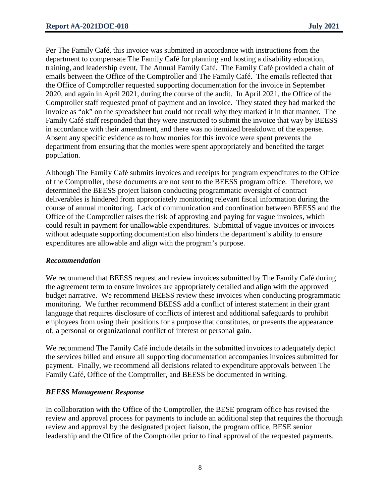Per The Family Café, this invoice was submitted in accordance with instructions from the department to compensate The Family Café for planning and hosting a disability education, training, and leadership event, The Annual Family Café. The Family Café provided a chain of emails between the Office of the Comptroller and The Family Café. The emails reflected that the Office of Comptroller requested supporting documentation for the invoice in September 2020, and again in April 2021, during the course of the audit. In April 2021, the Office of the Comptroller staff requested proof of payment and an invoice. They stated they had marked the invoice as "ok" on the spreadsheet but could not recall why they marked it in that manner. The Family Café staff responded that they were instructed to submit the invoice that way by BEESS in accordance with their amendment, and there was no itemized breakdown of the expense. Absent any specific evidence as to how monies for this invoice were spent prevents the department from ensuring that the monies were spent appropriately and benefited the target population.

Although The Family Café submits invoices and receipts for program expenditures to the Office of the Comptroller, these documents are not sent to the BEESS program office. Therefore, we determined the BEESS project liaison conducting programmatic oversight of contract deliverables is hindered from appropriately monitoring relevant fiscal information during the course of annual monitoring. Lack of communication and coordination between BEESS and the Office of the Comptroller raises the risk of approving and paying for vague invoices, which could result in payment for unallowable expenditures. Submittal of vague invoices or invoices without adequate supporting documentation also hinders the department's ability to ensure expenditures are allowable and align with the program's purpose.

## *Recommendation*

We recommend that BEESS request and review invoices submitted by The Family Café during the agreement term to ensure invoices are appropriately detailed and align with the approved budget narrative. We recommend BEESS review these invoices when conducting programmatic monitoring. We further recommend BEESS add a conflict of interest statement in their grant language that requires disclosure of conflicts of interest and additional safeguards to prohibit employees from using their positions for a purpose that constitutes, or presents the appearance of, a personal or organizational conflict of interest or personal gain.

We recommend The Family Café include details in the submitted invoices to adequately depict the services billed and ensure all supporting documentation accompanies invoices submitted for payment. Finally, we recommend all decisions related to expenditure approvals between The Family Café, Office of the Comptroller, and BEESS be documented in writing.

## *BEESS Management Response*

In collaboration with the Office of the Comptroller, the BESE program office has revised the review and approval process for payments to include an additional step that requires the thorough review and approval by the designated project liaison, the program office, BESE senior leadership and the Office of the Comptroller prior to final approval of the requested payments.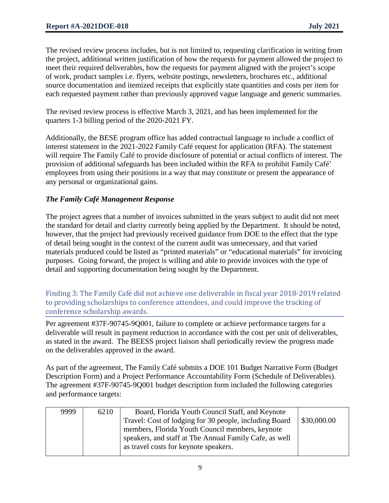The revised review process includes, but is not limited to, requesting clarification in writing from the project, additional written justification of how the requests for payment allowed the project to meet their required deliverables, how the requests for payment aligned with the project's scope of work, product samples i.e. flyers, website postings, newsletters, brochures etc., additional source documentation and itemized receipts that explicitly state quantities and costs per item for each requested payment rather than previously approved vague language and generic summaries.

The revised review process is effective March 3, 2021, and has been implemented for the quarters 1-3 billing period of the 2020-2021 FY.

Additionally, the BESE program office has added contractual language to include a conflict of interest statement in the 2021-2022 Family Café request for application (RFA). The statement will require The Family Café to provide disclosure of potential or actual conflicts of interest. The provision of additional safeguards has been included within the RFA to prohibit Family Café' employees from using their positions in a way that may constitute or present the appearance of any personal or organizational gains.

## *The Family Café Management Response*

The project agrees that a number of invoices submitted in the years subject to audit did not meet the standard for detail and clarity currently being applied by the Department. It should be noted, however, that the project had previously received guidance from DOE to the effect that the type of detail being sought in the context of the current audit was unnecessary, and that varied materials produced could be listed as "printed materials" or "educational materials" for invoicing purposes. Going forward, the project is willing and able to provide invoices with the type of detail and supporting documentation being sought by the Department.

Finding 3: The Family Café did not achieve one deliverable in fiscal year 2018-2019 related to providing scholarships to conference attendees, and could improve the tracking of conference scholarship awards.

Per agreement #37F-90745-9Q001, failure to complete or achieve performance targets for a deliverable will result in payment reduction in accordance with the cost per unit of deliverables, as stated in the award. The BEESS project liaison shall periodically review the progress made on the deliverables approved in the award.

As part of the agreement, The Family Café submits a DOE 101 Budget Narrative Form (Budget Description Form) and a Project Performance Accountability Form (Schedule of Deliverables). The agreement #37F-90745-9Q001 budget description form included the following categories and performance targets:

| \$30,000.00<br>Travel: Cost of lodging for 30 people, including Board |  |
|-----------------------------------------------------------------------|--|
|                                                                       |  |
| members, Florida Youth Council members, keynote                       |  |
| speakers, and staff at The Annual Family Cafe, as well                |  |
| as travel costs for keynote speakers.                                 |  |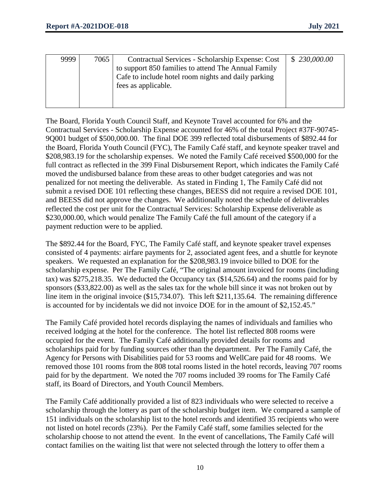| 9999 | 7065 | Contractual Services - Scholarship Expense: Cost    | \$230,000.00 |
|------|------|-----------------------------------------------------|--------------|
|      |      |                                                     |              |
|      |      | to support 850 families to attend The Annual Family |              |
|      |      | Cafe to include hotel room nights and daily parking |              |
|      |      | fees as applicable.                                 |              |
|      |      |                                                     |              |
|      |      |                                                     |              |

The Board, Florida Youth Council Staff, and Keynote Travel accounted for 6% and the Contractual Services - Scholarship Expense accounted for 46% of the total Project #37F-90745- 9Q001 budget of \$500,000.00. The final DOE 399 reflected total disbursements of \$892.44 for the Board, Florida Youth Council (FYC), The Family Café staff, and keynote speaker travel and \$208,983.19 for the scholarship expenses. We noted the Family Café received \$500,000 for the full contract as reflected in the 399 Final Disbursement Report, which indicates the Family Café moved the undisbursed balance from these areas to other budget categories and was not penalized for not meeting the deliverable. As stated in Finding 1, The Family Café did not submit a revised DOE 101 reflecting these changes, BEESS did not require a revised DOE 101, and BEESS did not approve the changes. We additionally noted the schedule of deliverables reflected the cost per unit for the Contractual Services: Scholarship Expense deliverable as \$230,000.00, which would penalize The Family Café the full amount of the category if a payment reduction were to be applied.

The \$892.44 for the Board, FYC, The Family Café staff, and keynote speaker travel expenses consisted of 4 payments: airfare payments for 2, associated agent fees, and a shuttle for keynote speakers. We requested an explanation for the \$208,983.19 invoice billed to DOE for the scholarship expense. Per The Family Café, "The original amount invoiced for rooms (including tax) was \$275,218.35. We deducted the Occupancy tax (\$14,526.64) and the rooms paid for by sponsors (\$33,822.00) as well as the sales tax for the whole bill since it was not broken out by line item in the original invoice (\$15,734.07). This left \$211,135.64. The remaining difference is accounted for by incidentals we did not invoice DOE for in the amount of \$2,152.45."

The Family Café provided hotel records displaying the names of individuals and families who received lodging at the hotel for the conference. The hotel list reflected 808 rooms were occupied for the event. The Family Café additionally provided details for rooms and scholarships paid for by funding sources other than the department. Per The Family Café, the Agency for Persons with Disabilities paid for 53 rooms and WellCare paid for 48 rooms. We removed those 101 rooms from the 808 total rooms listed in the hotel records, leaving 707 rooms paid for by the department. We noted the 707 rooms included 39 rooms for The Family Café staff, its Board of Directors, and Youth Council Members.

The Family Café additionally provided a list of 823 individuals who were selected to receive a scholarship through the lottery as part of the scholarship budget item. We compared a sample of 151 individuals on the scholarship list to the hotel records and identified 35 recipients who were not listed on hotel records (23%). Per the Family Café staff, some families selected for the scholarship choose to not attend the event. In the event of cancellations, The Family Café will contact families on the waiting list that were not selected through the lottery to offer them a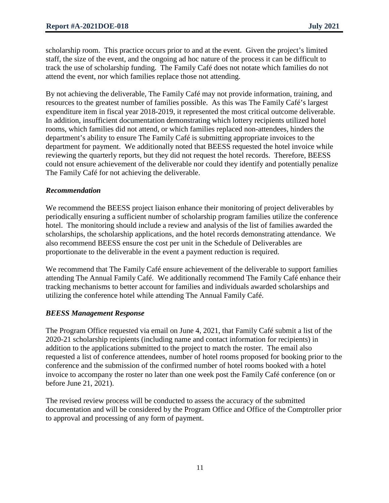scholarship room. This practice occurs prior to and at the event. Given the project's limited staff, the size of the event, and the ongoing ad hoc nature of the process it can be difficult to track the use of scholarship funding. The Family Café does not notate which families do not attend the event, nor which families replace those not attending.

By not achieving the deliverable, The Family Café may not provide information, training, and resources to the greatest number of families possible. As this was The Family Café's largest expenditure item in fiscal year 2018-2019, it represented the most critical outcome deliverable. In addition, insufficient documentation demonstrating which lottery recipients utilized hotel rooms, which families did not attend, or which families replaced non-attendees, hinders the department's ability to ensure The Family Café is submitting appropriate invoices to the department for payment. We additionally noted that BEESS requested the hotel invoice while reviewing the quarterly reports, but they did not request the hotel records. Therefore, BEESS could not ensure achievement of the deliverable nor could they identify and potentially penalize The Family Café for not achieving the deliverable.

## *Recommendation*

We recommend the BEESS project liaison enhance their monitoring of project deliverables by periodically ensuring a sufficient number of scholarship program families utilize the conference hotel. The monitoring should include a review and analysis of the list of families awarded the scholarships, the scholarship applications, and the hotel records demonstrating attendance. We also recommend BEESS ensure the cost per unit in the Schedule of Deliverables are proportionate to the deliverable in the event a payment reduction is required.

We recommend that The Family Café ensure achievement of the deliverable to support families attending The Annual Family Café. We additionally recommend The Family Café enhance their tracking mechanisms to better account for families and individuals awarded scholarships and utilizing the conference hotel while attending The Annual Family Café.

## *BEESS Management Response*

The Program Office requested via email on June 4, 2021, that Family Café submit a list of the 2020-21 scholarship recipients (including name and contact information for recipients) in addition to the applications submitted to the project to match the roster. The email also requested a list of conference attendees, number of hotel rooms proposed for booking prior to the conference and the submission of the confirmed number of hotel rooms booked with a hotel invoice to accompany the roster no later than one week post the Family Café conference (on or before June 21, 2021).

The revised review process will be conducted to assess the accuracy of the submitted documentation and will be considered by the Program Office and Office of the Comptroller prior to approval and processing of any form of payment.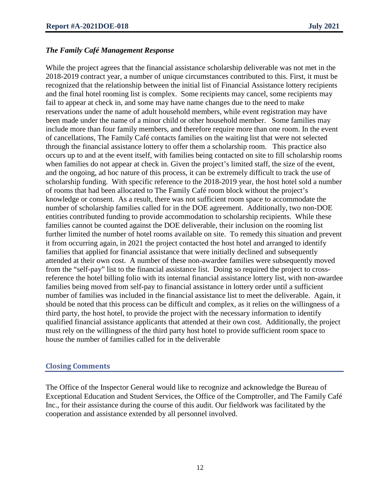#### *The Family Café Management Response*

While the project agrees that the financial assistance scholarship deliverable was not met in the 2018-2019 contract year, a number of unique circumstances contributed to this. First, it must be recognized that the relationship between the initial list of Financial Assistance lottery recipients and the final hotel rooming list is complex. Some recipients may cancel, some recipients may fail to appear at check in, and some may have name changes due to the need to make reservations under the name of adult household members, while event registration may have been made under the name of a minor child or other household member. Some families may include more than four family members, and therefore require more than one room. In the event of cancellations, The Family Café contacts families on the waiting list that were not selected through the financial assistance lottery to offer them a scholarship room. This practice also occurs up to and at the event itself, with families being contacted on site to fill scholarship rooms when families do not appear at check in. Given the project's limited staff, the size of the event, and the ongoing, ad hoc nature of this process, it can be extremely difficult to track the use of scholarship funding. With specific reference to the 2018-2019 year, the host hotel sold a number of rooms that had been allocated to The Family Café room block without the project's knowledge or consent. As a result, there was not sufficient room space to accommodate the number of scholarship families called for in the DOE agreement. Additionally, two non-DOE entities contributed funding to provide accommodation to scholarship recipients. While these families cannot be counted against the DOE deliverable, their inclusion on the rooming list further limited the number of hotel rooms available on site. To remedy this situation and prevent it from occurring again, in 2021 the project contacted the host hotel and arranged to identify families that applied for financial assistance that were initially declined and subsequently attended at their own cost. A number of these non-awardee families were subsequently moved from the "self-pay" list to the financial assistance list. Doing so required the project to crossreference the hotel billing folio with its internal financial assistance lottery list, with non-awardee families being moved from self-pay to financial assistance in lottery order until a sufficient number of families was included in the financial assistance list to meet the deliverable. Again, it should be noted that this process can be difficult and complex, as it relies on the willingness of a third party, the host hotel, to provide the project with the necessary information to identify qualified financial assistance applicants that attended at their own cost. Additionally, the project must rely on the willingness of the third party host hotel to provide sufficient room space to house the number of families called for in the deliverable

## **Closing Comments**

The Office of the Inspector General would like to recognize and acknowledge the Bureau of Exceptional Education and Student Services, the Office of the Comptroller, and The Family Café Inc., for their assistance during the course of this audit. Our fieldwork was facilitated by the cooperation and assistance extended by all personnel involved.